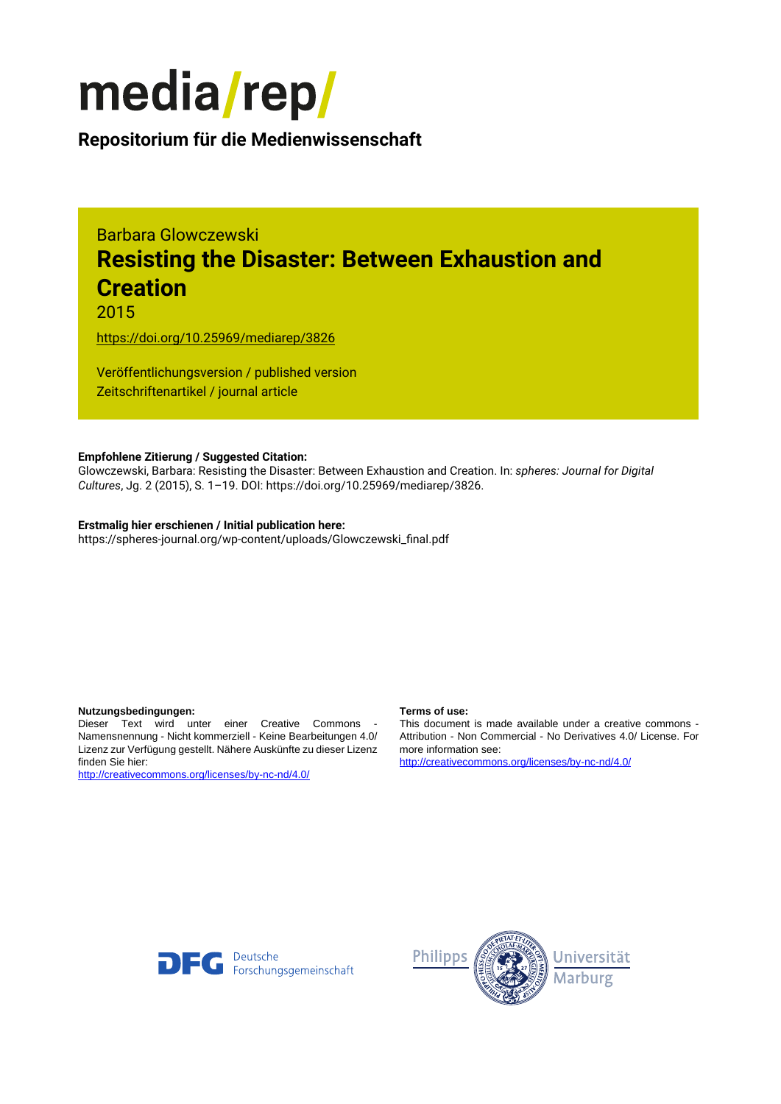

**Repositorium für die [Medienwissenschaft](https://mediarep.org)**

# Barbara Glowczewski **Resisting the Disaster: Between Exhaustion and Creation**

2015

<https://doi.org/10.25969/mediarep/3826>

Veröffentlichungsversion / published version Zeitschriftenartikel / journal article

## **Empfohlene Zitierung / Suggested Citation:**

Glowczewski, Barbara: Resisting the Disaster: Between Exhaustion and Creation. In: *spheres: Journal for Digital Cultures*, Jg. 2 (2015), S. 1–19. DOI: https://doi.org/10.25969/mediarep/3826.

### **Erstmalig hier erschienen / Initial publication here:** https://spheres-journal.org/wp-content/uploads/Glowczewski\_final.pdf

#### **Nutzungsbedingungen: Terms of use:**

Dieser Text wird unter einer Creative Commons - Namensnennung - Nicht kommerziell - Keine Bearbeitungen 4.0/ Lizenz zur Verfügung gestellt. Nähere Auskünfte zu dieser Lizenz finden Sie hier:

<http://creativecommons.org/licenses/by-nc-nd/4.0/>

This document is made available under a creative commons - Attribution - Non Commercial - No Derivatives 4.0/ License. For more information see:

<http://creativecommons.org/licenses/by-nc-nd/4.0/>



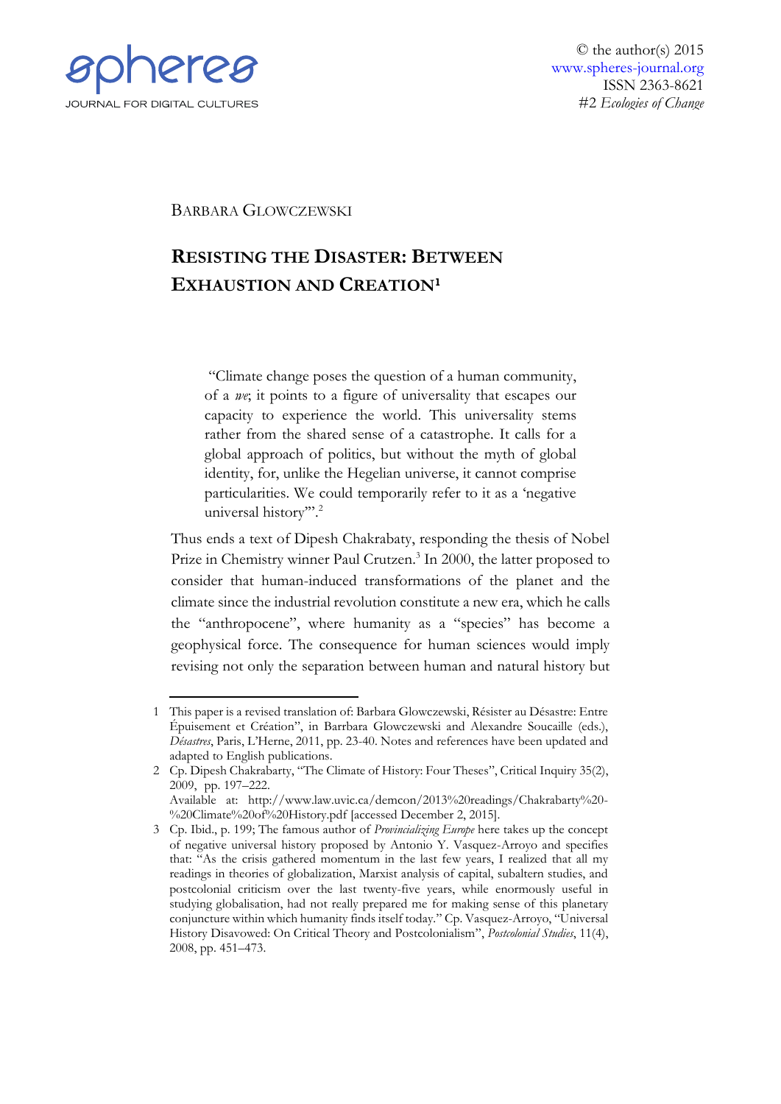

BARBARA GLOWCZEWSKI

# **RESISTING THE DISASTER: BETWEEN EXHAUSTION AND CREATION<sup>1</sup>**

"Climate change poses the question of a human community, of a *we*; it points to a figure of universality that escapes our capacity to experience the world. This universality stems rather from the shared sense of a catastrophe. It calls for a global approach of politics, but without the myth of global identity, for, unlike the Hegelian universe, it cannot comprise particularities. We could temporarily refer to it as a 'negative universal history".<sup>2</sup>

Thus ends a text of Dipesh Chakrabaty, responding the thesis of Nobel Prize in Chemistry winner Paul Crutzen.<sup>3</sup> In 2000, the latter proposed to consider that human-induced transformations of the planet and the climate since the industrial revolution constitute a new era, which he calls the "anthropocene", where humanity as a "species" has become a geophysical force. The consequence for human sciences would imply revising not only the separation between human and natural history but

<sup>&</sup>lt;u>.</u> 1 This paper is a revised translation of: Barbara Glowczewski, Résister au Désastre: Entre Épuisement et Création", in Barrbara Glowczewski and Alexandre Soucaille (eds.), *Désastres*, Paris, L'Herne, 2011, pp. 23-40. Notes and references have been updated and adapted to English publications.

<sup>2</sup> Cp. Dipesh Chakrabarty, "The Climate of History: Four Theses", Critical Inquiry 35(2), 2009, pp. 197–222.

Available at: http://www.law.uvic.ca/demcon/2013%20readings/Chakrabarty%20- %20Climate%20of%20History.pdf [accessed December 2, 2015].

<sup>3</sup> Cp. Ibid., p. 199; The famous author of *Provincializing Europe* here takes up the concept of negative universal history proposed by Antonio Y. Vasquez-Arroyo and specifies that: "As the crisis gathered momentum in the last few years, I realized that all my readings in theories of globalization, Marxist analysis of capital, subaltern studies, and postcolonial criticism over the last twenty-five years, while enormously useful in studying globalisation, had not really prepared me for making sense of this planetary conjuncture within which humanity finds itself today." Cp. Vasquez-Arroyo, "Universal History Disavowed: On Critical Theory and Postcolonialism", *Postcolonial Studies*, 11(4), 2008, pp. 451–473.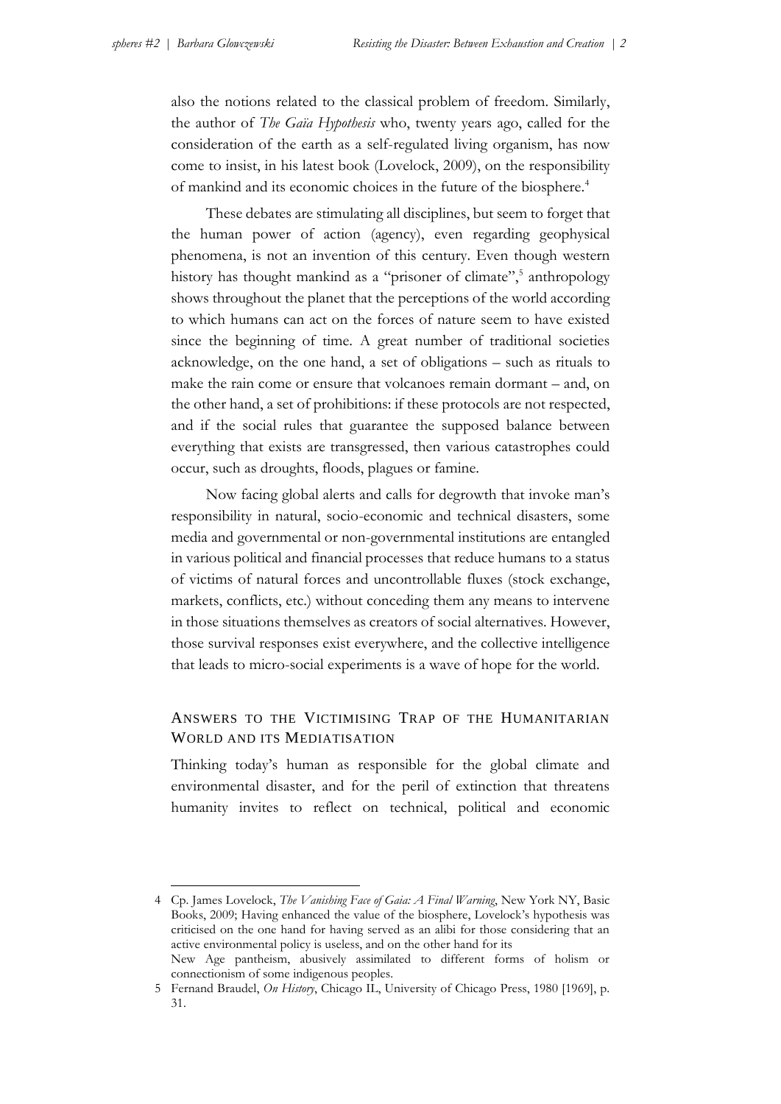also the notions related to the classical problem of freedom. Similarly, the author of *The Gaïa Hypothesis* who, twenty years ago, called for the consideration of the earth as a self-regulated living organism, has now come to insist, in his latest book (Lovelock, 2009), on the responsibility of mankind and its economic choices in the future of the biosphere.<sup>4</sup>

These debates are stimulating all disciplines, but seem to forget that the human power of action (agency), even regarding geophysical phenomena, is not an invention of this century. Even though western history has thought mankind as a "prisoner of climate",<sup>5</sup> anthropology shows throughout the planet that the perceptions of the world according to which humans can act on the forces of nature seem to have existed since the beginning of time. A great number of traditional societies acknowledge, on the one hand, a set of obligations – such as rituals to make the rain come or ensure that volcanoes remain dormant – and, on the other hand, a set of prohibitions: if these protocols are not respected, and if the social rules that guarantee the supposed balance between everything that exists are transgressed, then various catastrophes could occur, such as droughts, floods, plagues or famine.

Now facing global alerts and calls for degrowth that invoke man's responsibility in natural, socio-economic and technical disasters, some media and governmental or non-governmental institutions are entangled in various political and financial processes that reduce humans to a status of victims of natural forces and uncontrollable fluxes (stock exchange, markets, conflicts, etc.) without conceding them any means to intervene in those situations themselves as creators of social alternatives. However, those survival responses exist everywhere, and the collective intelligence that leads to micro-social experiments is a wave of hope for the world.

# ANSWERS TO THE VICTIMISING TRAP OF THE HUMANITARIAN WORLD AND ITS MEDIATISATION

Thinking today's human as responsible for the global climate and environmental disaster, and for the peril of extinction that threatens humanity invites to reflect on technical, political and economic

<sup>4</sup> Cp. James Lovelock, *The Vanishing Face of Gaia: A Final Warning*, New York NY, Basic Books, 2009; Having enhanced the value of the biosphere, Lovelock's hypothesis was criticised on the one hand for having served as an alibi for those considering that an active environmental policy is useless, and on the other hand for its New Age pantheism, abusively assimilated to different forms of holism or

connectionism of some indigenous peoples. 5 Fernand Braudel, *On History*, Chicago IL, University of Chicago Press, 1980 [1969], p. 31.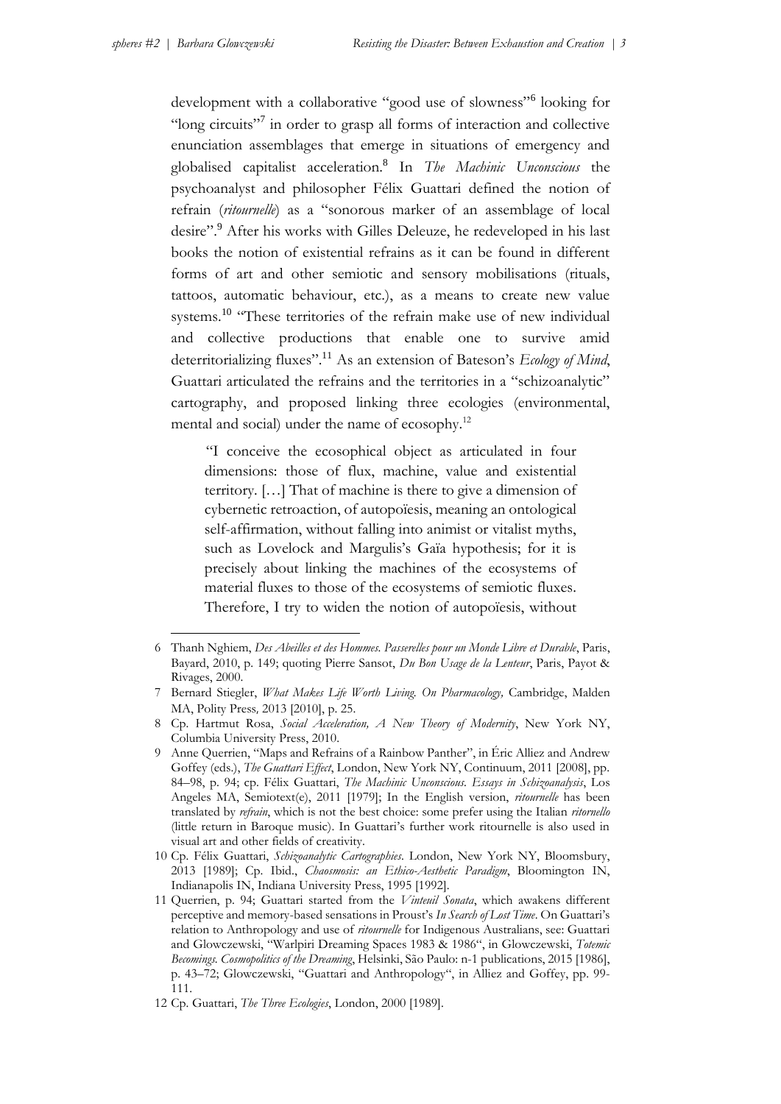development with a collaborative "good use of slowness"<sup>6</sup> looking for "long circuits"<sup>7</sup> in order to grasp all forms of interaction and collective enunciation assemblages that emerge in situations of emergency and globalised capitalist acceleration.<sup>8</sup> In *The Machinic Unconscious* the psychoanalyst and philosopher Félix Guattari defined the notion of refrain (*ritournelle*) as a "sonorous marker of an assemblage of local desire".<sup>9</sup> After his works with Gilles Deleuze, he redeveloped in his last books the notion of existential refrains as it can be found in different forms of art and other semiotic and sensory mobilisations (rituals, tattoos, automatic behaviour, etc.), as a means to create new value systems.<sup>10</sup> "These territories of the refrain make use of new individual and collective productions that enable one to survive amid deterritorializing fluxes".<sup>11</sup> As an extension of Bateson's *Ecology of Mind*, Guattari articulated the refrains and the territories in a "schizoanalytic" cartography, and proposed linking three ecologies (environmental, mental and social) under the name of ecosophy.<sup>12</sup>

"I conceive the ecosophical object as articulated in four dimensions: those of flux, machine, value and existential territory. […] That of machine is there to give a dimension of cybernetic retroaction, of autopoïesis, meaning an ontological self-affirmation, without falling into animist or vitalist myths, such as Lovelock and Margulis's Gaïa hypothesis; for it is precisely about linking the machines of the ecosystems of material fluxes to those of the ecosystems of semiotic fluxes. Therefore, I try to widen the notion of autopoïesis, without

<sup>-</sup>6 Thanh Nghiem, *Des Abeilles et des Hommes. Passerelles pour un Monde Libre et Durable*, Paris, Bayard, 2010, p. 149; quoting Pierre Sansot, *Du Bon Usage de la Lenteur*, Paris, Payot & Rivages, 2000.

<sup>7</sup> Bernard Stiegler, *What Makes Life Worth Living. On Pharmacology,* Cambridge, Malden MA, Polity Press, 2013 [2010], p. 25.

<sup>8</sup> Cp. Hartmut Rosa, *Social Acceleration, A New Theory of Modernity*, New York NY, Columbia University Press, 2010.

<sup>9</sup> Anne Querrien, "Maps and Refrains of a Rainbow Panther", in Éric Alliez and Andrew Goffey (eds.), *The Guattari Effect*, London, New York NY, Continuum, 2011 [2008], pp. 84–98, p. 94; cp. Félix Guattari, *The Machinic Unconscious. Essays in Schizoanalysis*, Los Angeles MA, Semiotext(e), 2011 [1979]; In the English version, *ritournelle* has been translated by *refrain*, which is not the best choice: some prefer using the Italian *ritornello* (little return in Baroque music). In Guattari's further work ritournelle is also used in visual art and other fields of creativity.

<sup>10</sup> Cp. Félix Guattari, *Schizoanalytic Cartographies*. London, New York NY, Bloomsbury, 2013 [1989]; Cp. Ibid., *Chaosmosis: an Ethico-Aesthetic Paradigm*, Bloomington IN, Indianapolis IN, Indiana University Press, 1995 [1992].

<sup>11</sup> Querrien, p. 94; Guattari started from the *Vinteuil Sonata*, which awakens different perceptive and memory-based sensations in Proust's *In Search of Lost Time*. On Guattari's relation to Anthropology and use of *ritournelle* for Indigenous Australians, see: Guattari and Glowczewski, "Warlpiri Dreaming Spaces 1983 & 1986", in Glowczewski, *Totemic Becomings. Cosmopolitics of the Dreaming*, Helsinki, São Paulo: n-1 publications, 2015 [1986], p. 43–72; Glowczewski, "Guattari and Anthropology", in Alliez and Goffey, pp. 99- 111.

<sup>12</sup> Cp. Guattari, *The Three Ecologies*, London, 2000 [1989].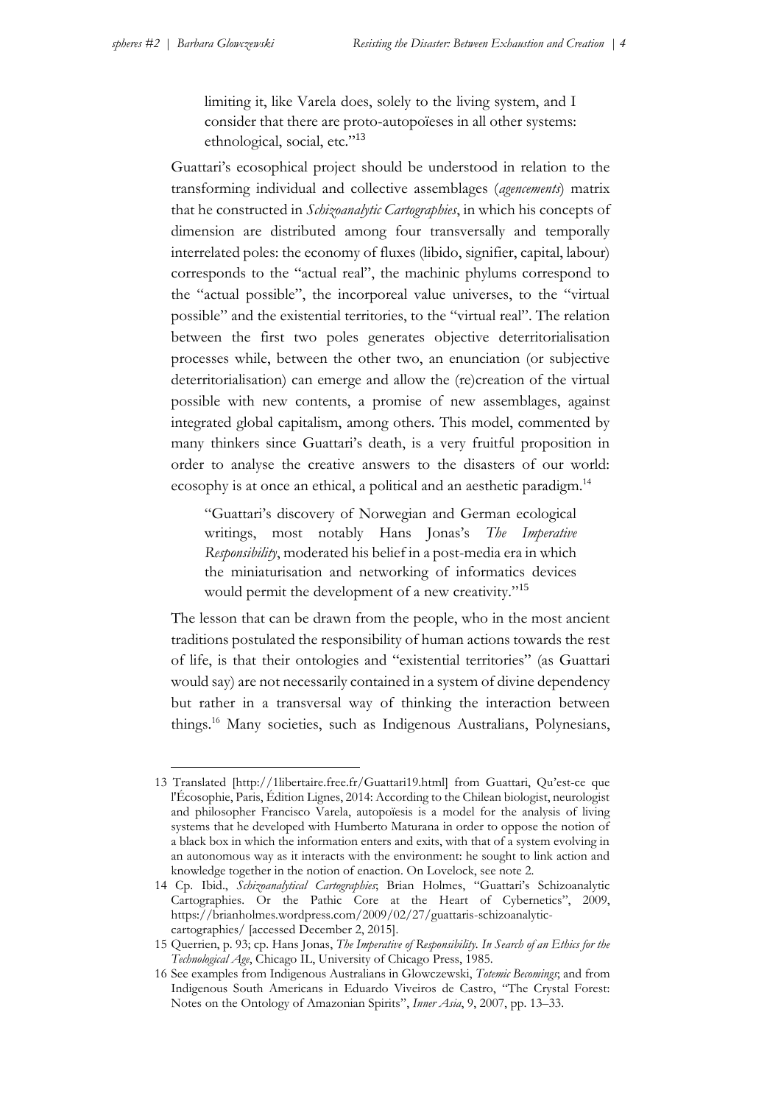limiting it, like Varela does, solely to the living system, and I consider that there are proto-autopoïeses in all other systems: ethnological, social, etc."<sup>13</sup>

Guattari's ecosophical project should be understood in relation to the transforming individual and collective assemblages (*agencements*) matrix that he constructed in *Schizoanalytic Cartographies*, in which his concepts of dimension are distributed among four transversally and temporally interrelated poles: the economy of fluxes (libido, signifier, capital, labour) corresponds to the "actual real", the machinic phylums correspond to the "actual possible", the incorporeal value universes, to the "virtual possible" and the existential territories, to the "virtual real". The relation between the first two poles generates objective deterritorialisation processes while, between the other two, an enunciation (or subjective deterritorialisation) can emerge and allow the (re)creation of the virtual possible with new contents, a promise of new assemblages, against integrated global capitalism, among others. This model, commented by many thinkers since Guattari's death, is a very fruitful proposition in order to analyse the creative answers to the disasters of our world: ecosophy is at once an ethical, a political and an aesthetic paradigm.<sup>14</sup>

"Guattari's discovery of Norwegian and German ecological writings, most notably Hans Jonas's *The Imperative Responsibility*, moderated his belief in a post-media era in which the miniaturisation and networking of informatics devices would permit the development of a new creativity."<sup>15</sup>

The lesson that can be drawn from the people, who in the most ancient traditions postulated the responsibility of human actions towards the rest of life, is that their ontologies and "existential territories" (as Guattari would say) are not necessarily contained in a system of divine dependency but rather in a transversal way of thinking the interaction between things.<sup>16</sup> Many societies, such as Indigenous Australians, Polynesians,

<sup>13</sup> Translated [http://1libertaire.free.fr/Guattari19.html] from Guattari, Qu'est-ce que l'Écosophie, Paris, Édition Lignes, 2014: According to the Chilean biologist, neurologist and philosopher Francisco Varela, autopoïesis is a model for the analysis of living systems that he developed with Humberto Maturana in order to oppose the notion of a black box in which the information enters and exits, with that of a system evolving in an autonomous way as it interacts with the environment: he sought to link action and knowledge together in the notion of enaction. On Lovelock, see note 2.

<sup>14</sup> Cp. Ibid., *Schizoanalytical Cartographies*; Brian Holmes, "Guattari's Schizoanalytic Cartographies. Or the Pathic Core at the Heart of Cybernetics", 2009, https://brianholmes.wordpress.com/2009/02/27/guattaris-schizoanalyticcartographies/ [accessed December 2, 2015].

<sup>15</sup> Querrien, p. 93; cp. Hans Jonas, *The Imperative of Responsibility. In Search of an Ethics for the Technological Age*, Chicago IL, University of Chicago Press, 1985.

<sup>16</sup> See examples from Indigenous Australians in Glowczewski, *Totemic Becomings*; and from Indigenous South Americans in Eduardo Viveiros de Castro, "The Crystal Forest: Notes on the Ontology of Amazonian Spirits", *Inner Asia*, 9, 2007, pp. 13–33.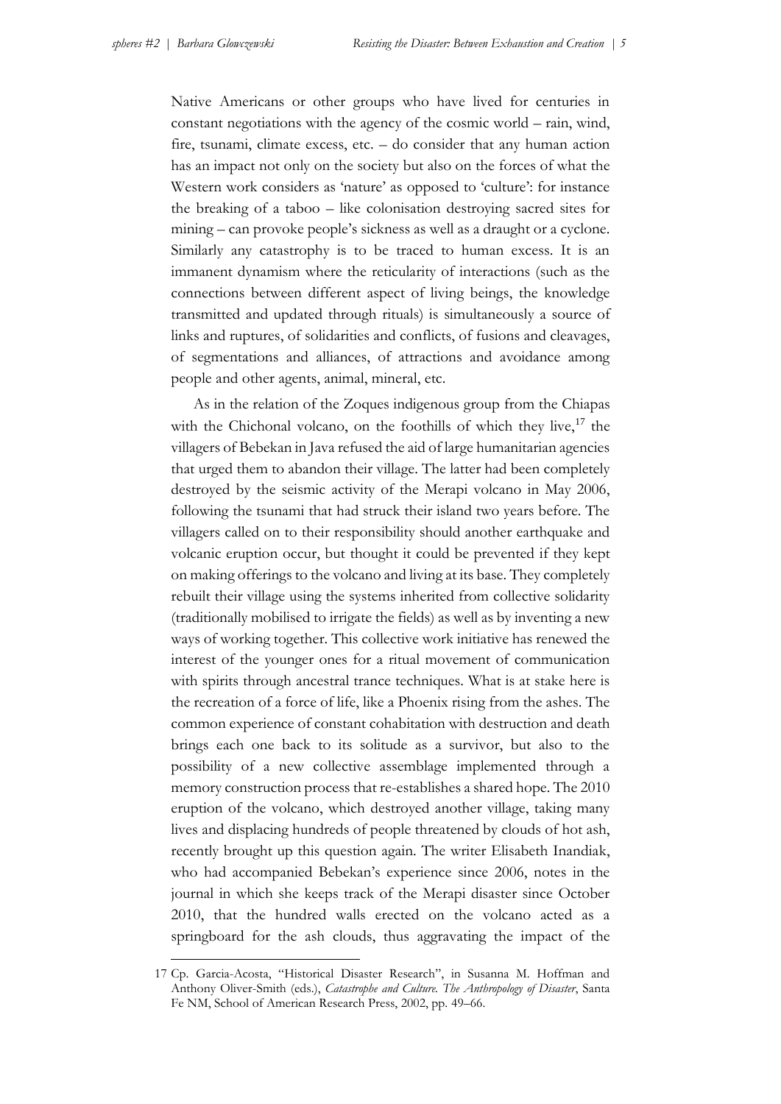Native Americans or other groups who have lived for centuries in constant negotiations with the agency of the cosmic world – rain, wind, fire, tsunami, climate excess, etc. – do consider that any human action has an impact not only on the society but also on the forces of what the Western work considers as 'nature' as opposed to 'culture': for instance the breaking of a taboo – like colonisation destroying sacred sites for mining – can provoke people's sickness as well as a draught or a cyclone. Similarly any catastrophy is to be traced to human excess. It is an immanent dynamism where the reticularity of interactions (such as the connections between different aspect of living beings, the knowledge transmitted and updated through rituals) is simultaneously a source of links and ruptures, of solidarities and conflicts, of fusions and cleavages, of segmentations and alliances, of attractions and avoidance among people and other agents, animal, mineral, etc.

As in the relation of the Zoques indigenous group from the Chiapas with the Chichonal volcano, on the foothills of which they live, $17$  the villagers of Bebekan in Java refused the aid of large humanitarian agencies that urged them to abandon their village. The latter had been completely destroyed by the seismic activity of the Merapi volcano in May 2006, following the tsunami that had struck their island two years before. The villagers called on to their responsibility should another earthquake and volcanic eruption occur, but thought it could be prevented if they kept on making offerings to the volcano and living at its base. They completely rebuilt their village using the systems inherited from collective solidarity (traditionally mobilised to irrigate the fields) as well as by inventing a new ways of working together. This collective work initiative has renewed the interest of the younger ones for a ritual movement of communication with spirits through ancestral trance techniques. What is at stake here is the recreation of a force of life, like a Phoenix rising from the ashes. The common experience of constant cohabitation with destruction and death brings each one back to its solitude as a survivor, but also to the possibility of a new collective assemblage implemented through a memory construction process that re-establishes a shared hope. The 2010 eruption of the volcano, which destroyed another village, taking many lives and displacing hundreds of people threatened by clouds of hot ash, recently brought up this question again. The writer Elisabeth Inandiak, who had accompanied Bebekan's experience since 2006, notes in the journal in which she keeps track of the Merapi disaster since October 2010, that the hundred walls erected on the volcano acted as a springboard for the ash clouds, thus aggravating the impact of the

<sup>17</sup> Cp. Garcia-Acosta, "Historical Disaster Research", in Susanna M. Hoffman and Anthony Oliver-Smith (eds.), *Catastrophe and Culture. The Anthropology of Disaster*, Santa Fe NM, School of American Research Press, 2002, pp. 49–66.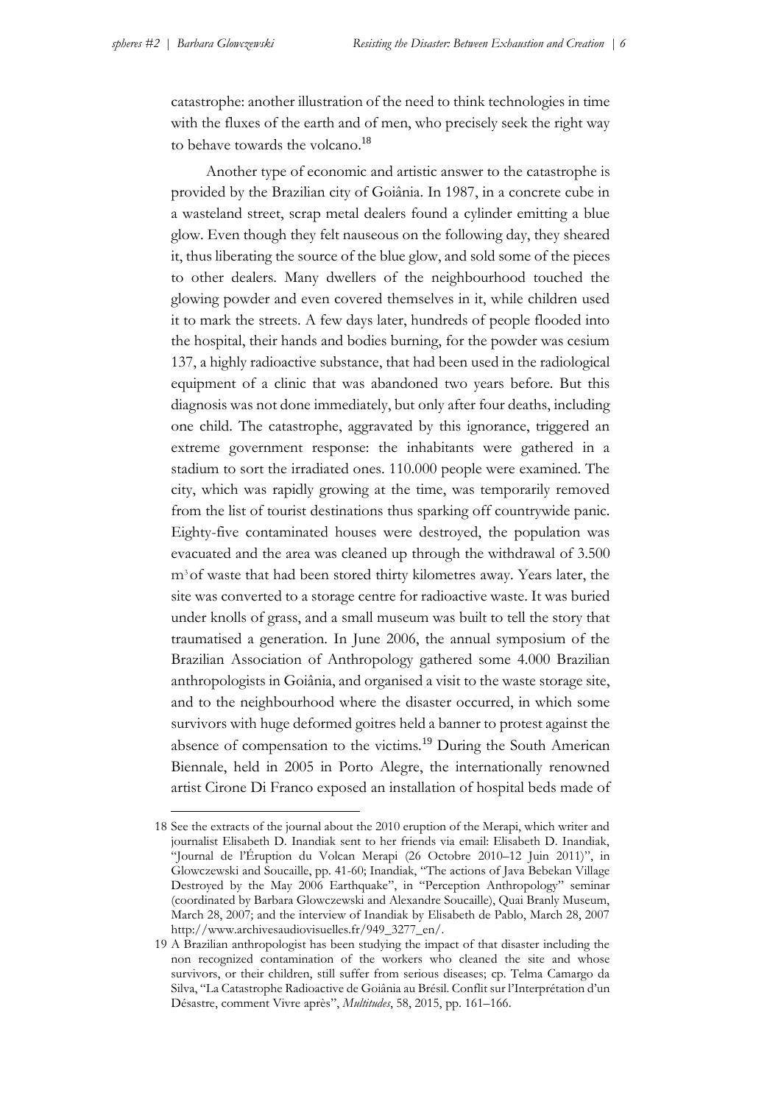catastrophe: another illustration of the need to think technologies in time with the fluxes of the earth and of men, who precisely seek the right way to behave towards the volcano.<sup>18</sup>

Another type of economic and artistic answer to the catastrophe is provided by the Brazilian city of Goiânia. In 1987, in a concrete cube in a wasteland street, scrap metal dealers found a cylinder emitting a blue glow. Even though they felt nauseous on the following day, they sheared it, thus liberating the source of the blue glow, and sold some of the pieces to other dealers. Many dwellers of the neighbourhood touched the glowing powder and even covered themselves in it, while children used it to mark the streets. A few days later, hundreds of people flooded into the hospital, their hands and bodies burning, for the powder was cesium 137, a highly radioactive substance, that had been used in the radiological equipment of a clinic that was abandoned two years before. But this diagnosis was not done immediately, but only after four deaths, including one child. The catastrophe, aggravated by this ignorance, triggered an extreme government response: the inhabitants were gathered in a stadium to sort the irradiated ones. 110.000 people were examined. The city, which was rapidly growing at the time, was temporarily removed from the list of tourist destinations thus sparking off countrywide panic. Eighty-five contaminated houses were destroyed, the population was evacuated and the area was cleaned up through the withdrawal of 3.500 m3 of waste that had been stored thirty kilometres away. Years later, the site was converted to a storage centre for radioactive waste. It was buried under knolls of grass, and a small museum was built to tell the story that traumatised a generation. In June 2006, the annual symposium of the Brazilian Association of Anthropology gathered some 4.000 Brazilian anthropologists in Goiânia, and organised a visit to the waste storage site, and to the neighbourhood where the disaster occurred, in which some survivors with huge deformed goitres held a banner to protest against the absence of compensation to the victims.<sup>19</sup> During the South American Biennale, held in 2005 in Porto Alegre, the internationally renowned artist Cirone Di Franco exposed an installation of hospital beds made of

<sup>18</sup> See the extracts of the journal about the 2010 eruption of the Merapi, which writer and journalist Elisabeth D. Inandiak sent to her friends via email: Elisabeth D. Inandiak, "Journal de l'Éruption du Volcan Merapi (26 Octobre 2010–12 Juin 2011)", in Glowczewski and Soucaille, pp. 41-60; Inandiak, "The actions of Java Bebekan Village Destroyed by the May 2006 Earthquake", in "Perception Anthropology" seminar (coordinated by Barbara Glowczewski and Alexandre Soucaille), Quai Branly Museum, March 28, 2007; and the interview of Inandiak by Elisabeth de Pablo, March 28, 2007 http://www.archivesaudiovisuelles.fr/949\_3277\_en/.

<sup>19</sup> A Brazilian anthropologist has been studying the impact of that disaster including the non recognized contamination of the workers who cleaned the site and whose survivors, or their children, still suffer from serious diseases; cp. Telma Camargo da Silva, "La Catastrophe Radioactive de Goiânia au Brésil. Conflit sur l'Interprétation d'un Désastre, comment Vivre après", *Multitudes*, 58, 2015, pp. 161–166.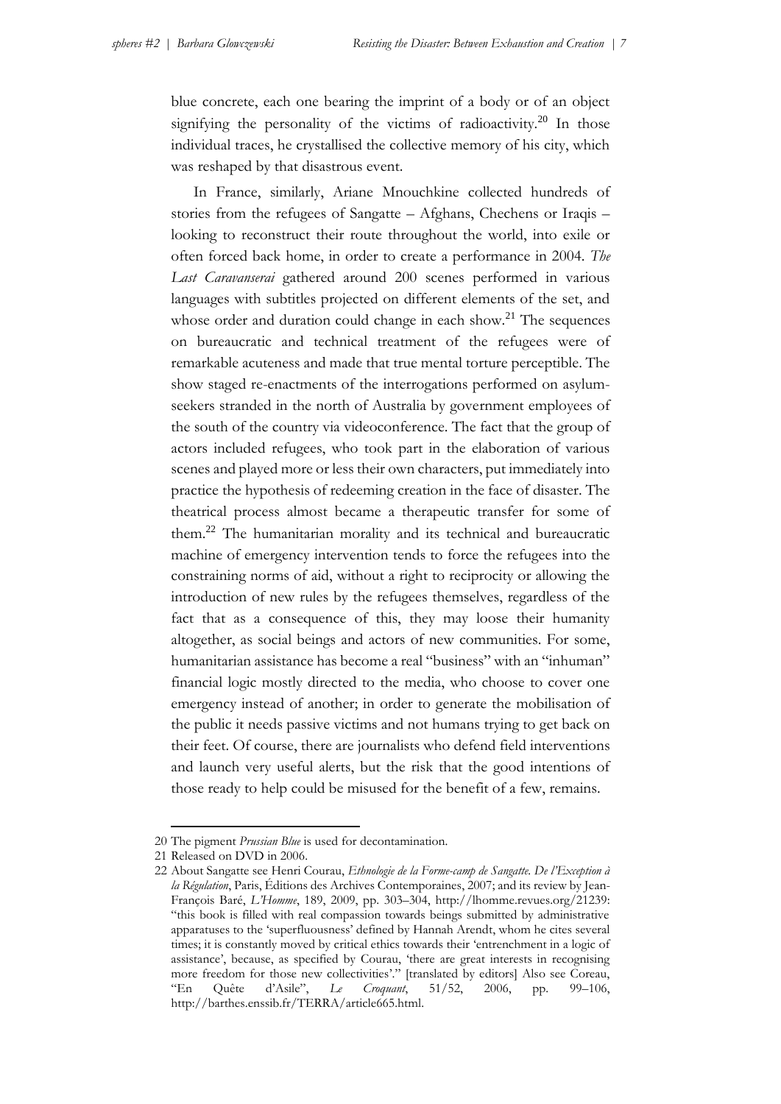blue concrete, each one bearing the imprint of a body or of an object signifying the personality of the victims of radioactivity.<sup>20</sup> In those individual traces, he crystallised the collective memory of his city, which was reshaped by that disastrous event.

In France, similarly, Ariane Mnouchkine collected hundreds of stories from the refugees of Sangatte – Afghans, Chechens or Iraqis – looking to reconstruct their route throughout the world, into exile or often forced back home, in order to create a performance in 2004. *The Last Caravanserai* gathered around 200 scenes performed in various languages with subtitles projected on different elements of the set, and whose order and duration could change in each show.<sup>21</sup> The sequences on bureaucratic and technical treatment of the refugees were of remarkable acuteness and made that true mental torture perceptible. The show staged re-enactments of the interrogations performed on asylumseekers stranded in the north of Australia by government employees of the south of the country via videoconference. The fact that the group of actors included refugees, who took part in the elaboration of various scenes and played more or less their own characters, put immediately into practice the hypothesis of redeeming creation in the face of disaster. The theatrical process almost became a therapeutic transfer for some of them.<sup>22</sup> The humanitarian morality and its technical and bureaucratic machine of emergency intervention tends to force the refugees into the constraining norms of aid, without a right to reciprocity or allowing the introduction of new rules by the refugees themselves, regardless of the fact that as a consequence of this, they may loose their humanity altogether, as social beings and actors of new communities. For some, humanitarian assistance has become a real "business" with an "inhuman" financial logic mostly directed to the media, who choose to cover one emergency instead of another; in order to generate the mobilisation of the public it needs passive victims and not humans trying to get back on their feet. Of course, there are journalists who defend field interventions and launch very useful alerts, but the risk that the good intentions of those ready to help could be misused for the benefit of a few, remains.

<u>.</u>

<sup>20</sup> The pigment *Prussian Blue* is used for decontamination.

<sup>21</sup> Released on DVD in 2006.

<sup>22</sup> About Sangatte see Henri Courau, *Ethnologie de la Forme-camp de Sangatte. De l'Exception à la Régulation*, Paris, Éditions des Archives Contemporaines, 2007; and its review by Jean-François Baré, *L'Homme*, 189, 2009, pp. 303–304, http://lhomme.revues.org/21239: "this book is filled with real compassion towards beings submitted by administrative apparatuses to the 'superfluousness' defined by Hannah Arendt, whom he cites several times; it is constantly moved by critical ethics towards their 'entrenchment in a logic of assistance', because, as specified by Courau, 'there are great interests in recognising more freedom for those new collectivities'." [translated by editors] Also see Coreau, "En Quête d'Asile", *Le Croquant*, 51/52, 2006, pp. 99–106, [http://barthes.enssib.fr/TERRA/article665.html.](http://barthes.enssib.fr/TERRA/article665.html)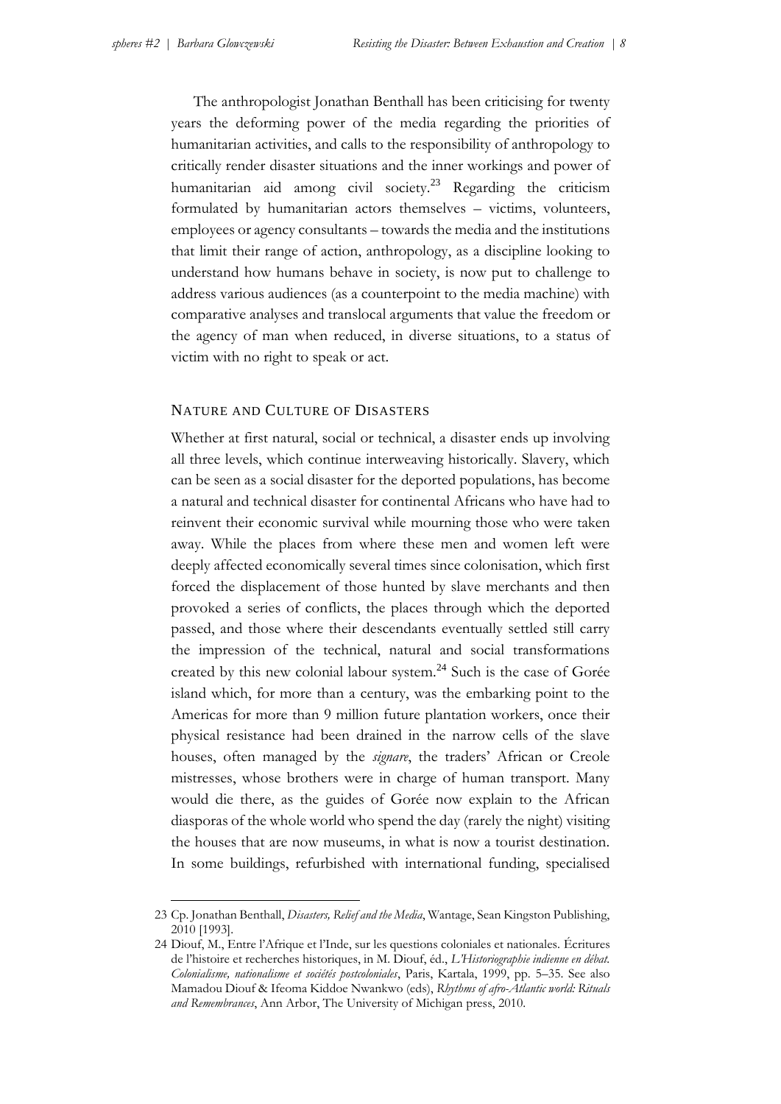The anthropologist Jonathan Benthall has been criticising for twenty years the deforming power of the media regarding the priorities of humanitarian activities, and calls to the responsibility of anthropology to critically render disaster situations and the inner workings and power of humanitarian aid among civil society.<sup>23</sup> Regarding the criticism formulated by humanitarian actors themselves – victims, volunteers, employees or agency consultants – towards the media and the institutions that limit their range of action, anthropology, as a discipline looking to understand how humans behave in society, is now put to challenge to address various audiences (as a counterpoint to the media machine) with comparative analyses and translocal arguments that value the freedom or the agency of man when reduced, in diverse situations, to a status of victim with no right to speak or act.

# NATURE AND CULTURE OF DISASTERS

Whether at first natural, social or technical, a disaster ends up involving all three levels, which continue interweaving historically. Slavery, which can be seen as a social disaster for the deported populations, has become a natural and technical disaster for continental Africans who have had to reinvent their economic survival while mourning those who were taken away. While the places from where these men and women left were deeply affected economically several times since colonisation, which first forced the displacement of those hunted by slave merchants and then provoked a series of conflicts, the places through which the deported passed, and those where their descendants eventually settled still carry the impression of the technical, natural and social transformations created by this new colonial labour system.<sup>24</sup> Such is the case of Gorée island which, for more than a century, was the embarking point to the Americas for more than 9 million future plantation workers, once their physical resistance had been drained in the narrow cells of the slave houses, often managed by the *signare*, the traders' African or Creole mistresses, whose brothers were in charge of human transport. Many would die there, as the guides of Gorée now explain to the African diasporas of the whole world who spend the day (rarely the night) visiting the houses that are now museums, in what is now a tourist destination. In some buildings, refurbished with international funding, specialised

<sup>23</sup> Cp. Jonathan Benthall, *Disasters, Relief and the Media*, Wantage, Sean Kingston Publishing, 2010 [1993].

<sup>24</sup> Diouf, M., Entre l'Afrique et l'Inde, sur les questions coloniales et nationales. Écritures de l'histoire et recherches historiques, in M. Diouf, éd., *L'Historiographie indienne en débat. Colonialisme, nationalisme et sociétés postcoloniales*, Paris, Kartala, 1999, pp. 5–35. See also Mamadou Diouf & Ifeoma Kiddoe Nwankwo (eds), *Rhythms of afro-Atlantic world: Rituals and Remembrances*, Ann Arbor, The University of Michigan press, 2010.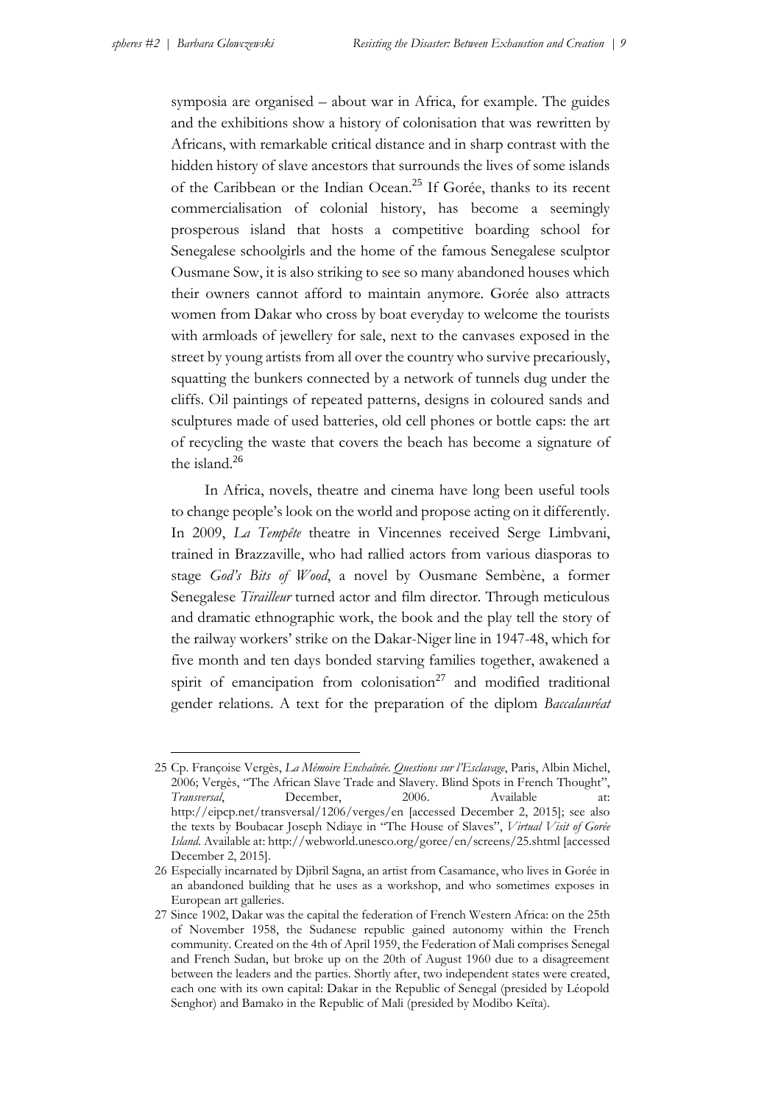symposia are organised – about war in Africa, for example. The guides and the exhibitions show a history of colonisation that was rewritten by Africans, with remarkable critical distance and in sharp contrast with the hidden history of slave ancestors that surrounds the lives of some islands of the Caribbean or the Indian Ocean.<sup>25</sup> If Gorée, thanks to its recent commercialisation of colonial history, has become a seemingly prosperous island that hosts a competitive boarding school for Senegalese schoolgirls and the home of the famous Senegalese sculptor Ousmane Sow, it is also striking to see so many abandoned houses which their owners cannot afford to maintain anymore. Gorée also attracts women from Dakar who cross by boat everyday to welcome the tourists with armloads of jewellery for sale, next to the canvases exposed in the street by young artists from all over the country who survive precariously, squatting the bunkers connected by a network of tunnels dug under the cliffs. Oil paintings of repeated patterns, designs in coloured sands and sculptures made of used batteries, old cell phones or bottle caps: the art of recycling the waste that covers the beach has become a signature of the island. $26$ 

In Africa, novels, theatre and cinema have long been useful tools to change people's look on the world and propose acting on it differently. In 2009, *La Tempête* theatre in Vincennes received Serge Limbvani, trained in Brazzaville, who had rallied actors from various diasporas to stage *God's Bits of Wood*, a novel by Ousmane Sembène, a former Senegalese *Tirailleur* turned actor and film director. Through meticulous and dramatic ethnographic work, the book and the play tell the story of the railway workers' strike on the Dakar-Niger line in 1947-48, which for five month and ten days bonded starving families together, awakened a spirit of emancipation from colonisation<sup>27</sup> and modified traditional gender relations. A text for the preparation of the diplom *Baccalauréat*

<sup>25</sup> Cp. Françoise Vergès, *La Mémoire Enchaînée. Questions sur l'Esclavage*, Paris, Albin Michel, 2006; Vergès, "The African Slave Trade and Slavery. Blind Spots in French Thought", *Transversal*, December, 2006. Available at: http://eipcp.net/transversal/1206/verges/en [accessed December 2, 2015]; see also the texts by Boubacar Joseph Ndiaye in "The House of Slaves", *Virtual Visit of Gorée Island*. Available at: http://webworld.unesco.org/goree/en/screens/25.shtml [accessed December 2, 2015].

<sup>26</sup> Especially incarnated by Djibril Sagna, an artist from Casamance, who lives in Gorée in an abandoned building that he uses as a workshop, and who sometimes exposes in European art galleries.

<sup>27</sup> Since 1902, Dakar was the capital the federation of French Western Africa: on the 25th of November 1958, the Sudanese republic gained autonomy within the French community. Created on the 4th of April 1959, the Federation of Mali comprises Senegal and French Sudan, but broke up on the 20th of August 1960 due to a disagreement between the leaders and the parties. Shortly after, two independent states were created, each one with its own capital: Dakar in the Republic of Senegal (presided by Léopold Senghor) and Bamako in the Republic of Mali (presided by Modibo Keïta).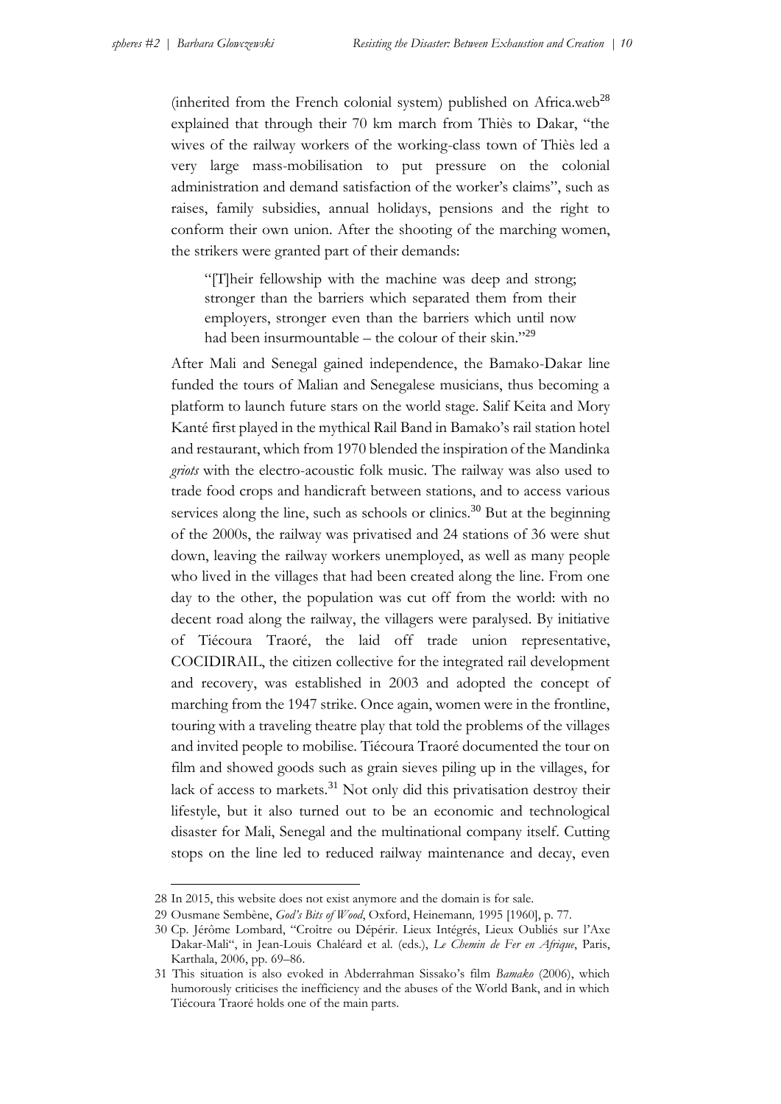(inherited from the French colonial system) published on Africa.web<sup>28</sup> explained that through their 70 km march from Thiès to Dakar, "the wives of the railway workers of the working-class town of Thiès led a very large mass-mobilisation to put pressure on the colonial administration and demand satisfaction of the worker's claims", such as raises, family subsidies, annual holidays, pensions and the right to conform their own union. After the shooting of the marching women, the strikers were granted part of their demands:

"[T]heir fellowship with the machine was deep and strong; stronger than the barriers which separated them from their employers, stronger even than the barriers which until now had been insurmountable – the colour of their skin."<sup>29</sup>

After Mali and Senegal gained independence, the Bamako-Dakar line funded the tours of Malian and Senegalese musicians, thus becoming a platform to launch future stars on the world stage. Salif Keita and Mory Kanté first played in the mythical Rail Band in Bamako's rail station hotel and restaurant, which from 1970 blended the inspiration of the Mandinka *griots* with the electro-acoustic folk music. The railway was also used to trade food crops and handicraft between stations, and to access various services along the line, such as schools or clinics.<sup>30</sup> But at the beginning of the 2000s, the railway was privatised and 24 stations of 36 were shut down, leaving the railway workers unemployed, as well as many people who lived in the villages that had been created along the line. From one day to the other, the population was cut off from the world: with no decent road along the railway, the villagers were paralysed. By initiative of Tiécoura Traoré, the laid off trade union representative, COCIDIRAIL, the citizen collective for the integrated rail development and recovery, was established in 2003 and adopted the concept of marching from the 1947 strike. Once again, women were in the frontline, touring with a traveling theatre play that told the problems of the villages and invited people to mobilise. Tiécoura Traoré documented the tour on film and showed goods such as grain sieves piling up in the villages, for lack of access to markets.<sup>31</sup> Not only did this privatisation destroy their lifestyle, but it also turned out to be an economic and technological disaster for Mali, Senegal and the multinational company itself. Cutting stops on the line led to reduced railway maintenance and decay, even

1

<sup>28</sup> In 2015, this website does not exist anymore and the domain is for sale.

<sup>29</sup> Ousmane Sembène, *God's Bits of Wood*, Oxford, Heinemann, 1995 [1960], p. 77.

<sup>30</sup> Cp. Jérôme Lombard, "Croître ou Dépérir. Lieux Intégrés, Lieux Oubliés sur l'Axe Dakar-Mali", in Jean-Louis Chaléard et al. (eds.), *Le Chemin de Fer en Afrique*, Paris, Karthala, 2006, pp. 69–86.

<sup>31</sup> This situation is also evoked in Abderrahman Sissako's film *Bamako* (2006), which humorously criticises the inefficiency and the abuses of the World Bank, and in which Tiécoura Traoré holds one of the main parts.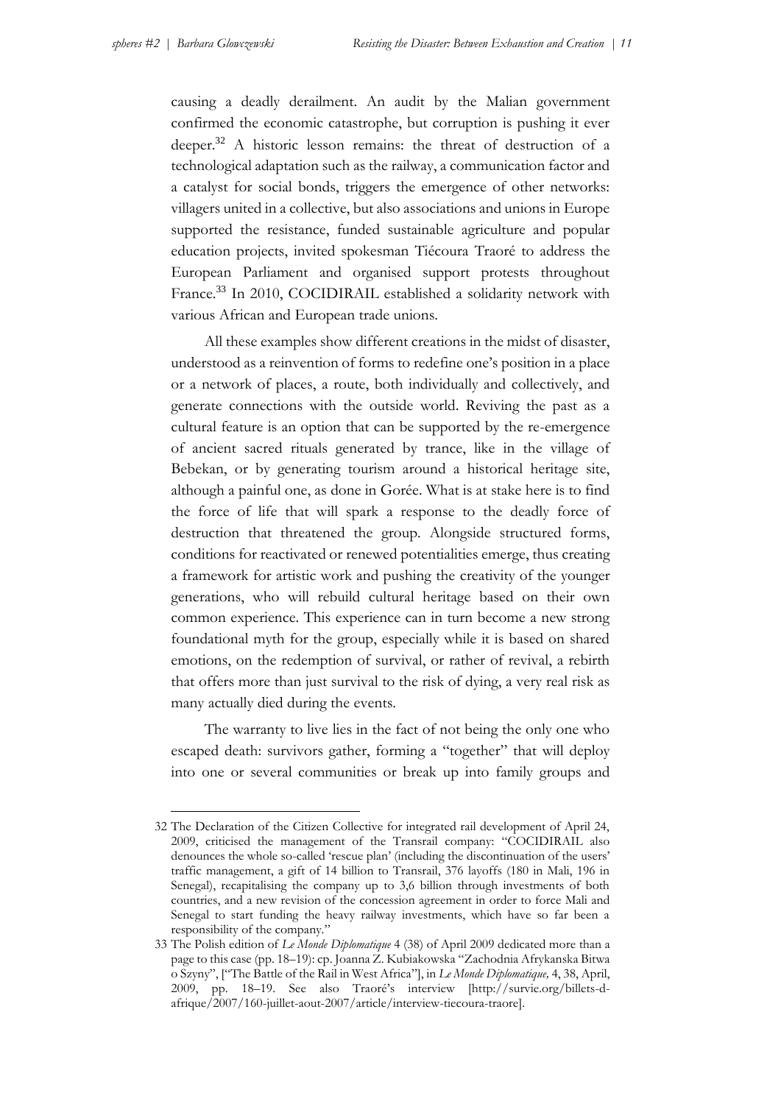causing a deadly derailment. An audit by the Malian government confirmed the economic catastrophe, but corruption is pushing it ever deeper.<sup>32</sup> A historic lesson remains: the threat of destruction of a technological adaptation such as the railway, a communication factor and a catalyst for social bonds, triggers the emergence of other networks: villagers united in a collective, but also associations and unions in Europe supported the resistance, funded sustainable agriculture and popular education projects, invited spokesman Tiécoura Traoré to address the European Parliament and organised support protests throughout France.<sup>33</sup> In 2010, COCIDIRAIL established a solidarity network with various African and European trade unions.

All these examples show different creations in the midst of disaster, understood as a reinvention of forms to redefine one's position in a place or a network of places, a route, both individually and collectively, and generate connections with the outside world. Reviving the past as a cultural feature is an option that can be supported by the re-emergence of ancient sacred rituals generated by trance, like in the village of Bebekan, or by generating tourism around a historical heritage site, although a painful one, as done in Gorée. What is at stake here is to find the force of life that will spark a response to the deadly force of destruction that threatened the group. Alongside structured forms, conditions for reactivated or renewed potentialities emerge, thus creating a framework for artistic work and pushing the creativity of the younger generations, who will rebuild cultural heritage based on their own common experience. This experience can in turn become a new strong foundational myth for the group, especially while it is based on shared emotions, on the redemption of survival, or rather of revival, a rebirth that offers more than just survival to the risk of dying, a very real risk as many actually died during the events.

The warranty to live lies in the fact of not being the only one who escaped death: survivors gather, forming a "together" that will deploy into one or several communities or break up into family groups and

<sup>32</sup> The Declaration of the Citizen Collective for integrated rail development of April 24, 2009, criticised the management of the Transrail company: "COCIDIRAIL also denounces the whole so-called 'rescue plan' (including the discontinuation of the users' traffic management, a gift of 14 billion to Transrail, 376 layoffs (180 in Mali, 196 in Senegal), recapitalising the company up to 3,6 billion through investments of both countries, and a new revision of the concession agreement in order to force Mali and Senegal to start funding the heavy railway investments, which have so far been a responsibility of the company."

<sup>33</sup> The Polish edition of *Le Monde Diplomatique* 4 (38) of April 2009 dedicated more than a page to this case (pp. 18–19): cp. Joanna Z. Kubiakowska "Zachodnia Afrykanska Bitwa o Szyny", ["The Battle of the Rail in West Africa"], in *Le Monde Diplomatique,* 4, 38, April, 2009, pp. 18–19. See also Traoré's interview [http://survie.org/billets-dafrique/2007/160-juillet-aout-2007/article/interview-tiecoura-traore].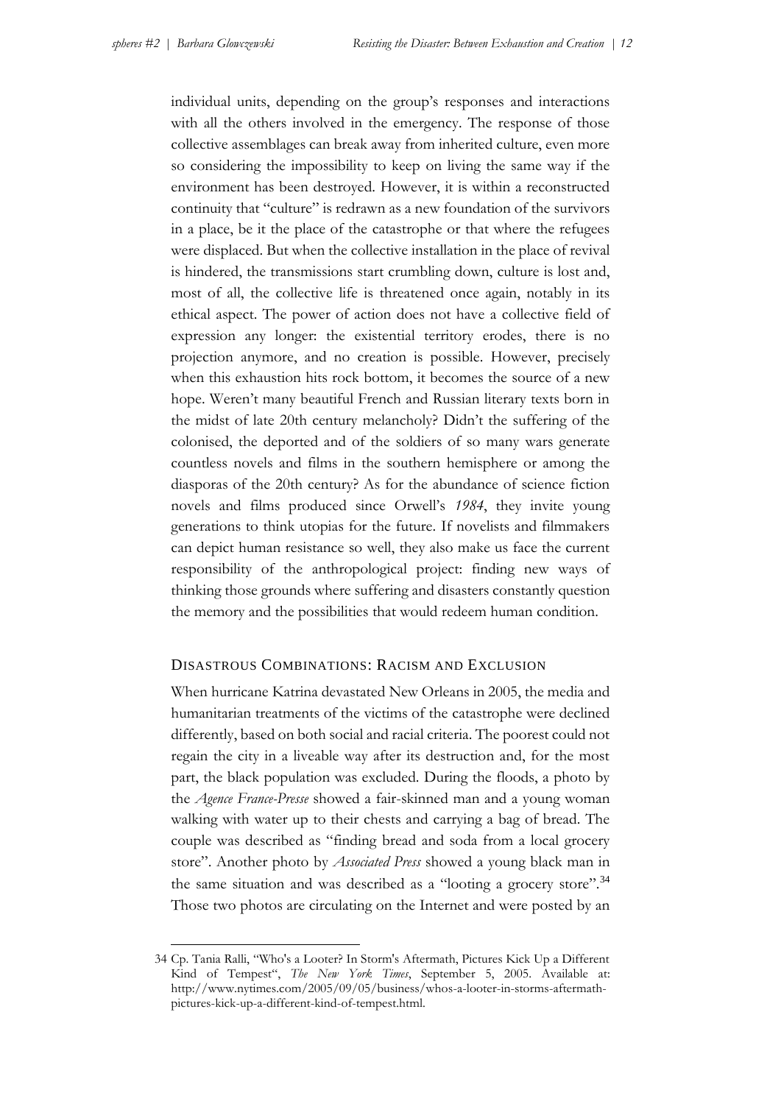individual units, depending on the group's responses and interactions with all the others involved in the emergency. The response of those collective assemblages can break away from inherited culture, even more so considering the impossibility to keep on living the same way if the environment has been destroyed. However, it is within a reconstructed continuity that "culture" is redrawn as a new foundation of the survivors in a place, be it the place of the catastrophe or that where the refugees were displaced. But when the collective installation in the place of revival is hindered, the transmissions start crumbling down, culture is lost and, most of all, the collective life is threatened once again, notably in its ethical aspect. The power of action does not have a collective field of expression any longer: the existential territory erodes, there is no projection anymore, and no creation is possible. However, precisely when this exhaustion hits rock bottom, it becomes the source of a new hope. Weren't many beautiful French and Russian literary texts born in the midst of late 20th century melancholy? Didn't the suffering of the colonised, the deported and of the soldiers of so many wars generate countless novels and films in the southern hemisphere or among the diasporas of the 20th century? As for the abundance of science fiction novels and films produced since Orwell's *1984*, they invite young generations to think utopias for the future. If novelists and filmmakers can depict human resistance so well, they also make us face the current responsibility of the anthropological project: finding new ways of thinking those grounds where suffering and disasters constantly question the memory and the possibilities that would redeem human condition.

# DISASTROUS COMBINATIONS: RACISM AND EXCLUSION

When hurricane Katrina devastated New Orleans in 2005, the media and humanitarian treatments of the victims of the catastrophe were declined differently, based on both social and racial criteria. The poorest could not regain the city in a liveable way after its destruction and, for the most part, the black population was excluded. During the floods, a photo by the *Agence France-Presse* showed a fair-skinned man and a young woman walking with water up to their chests and carrying a bag of bread. The couple was described as "finding bread and soda from a local grocery store". Another photo by *Associated Press* showed a young black man in the same situation and was described as a "looting a grocery store".<sup>34</sup> Those two photos are circulating on the Internet and were posted by an

<sup>34</sup> Cp. Tania Ralli, "Who's a Looter? In Storm's Aftermath, Pictures Kick Up a Different Kind of Tempest", *The New York Times*, September 5, 2005. Available at: http://www.nytimes.com/2005/09/05/business/whos-a-looter-in-storms-aftermathpictures-kick-up-a-different-kind-of-tempest.html.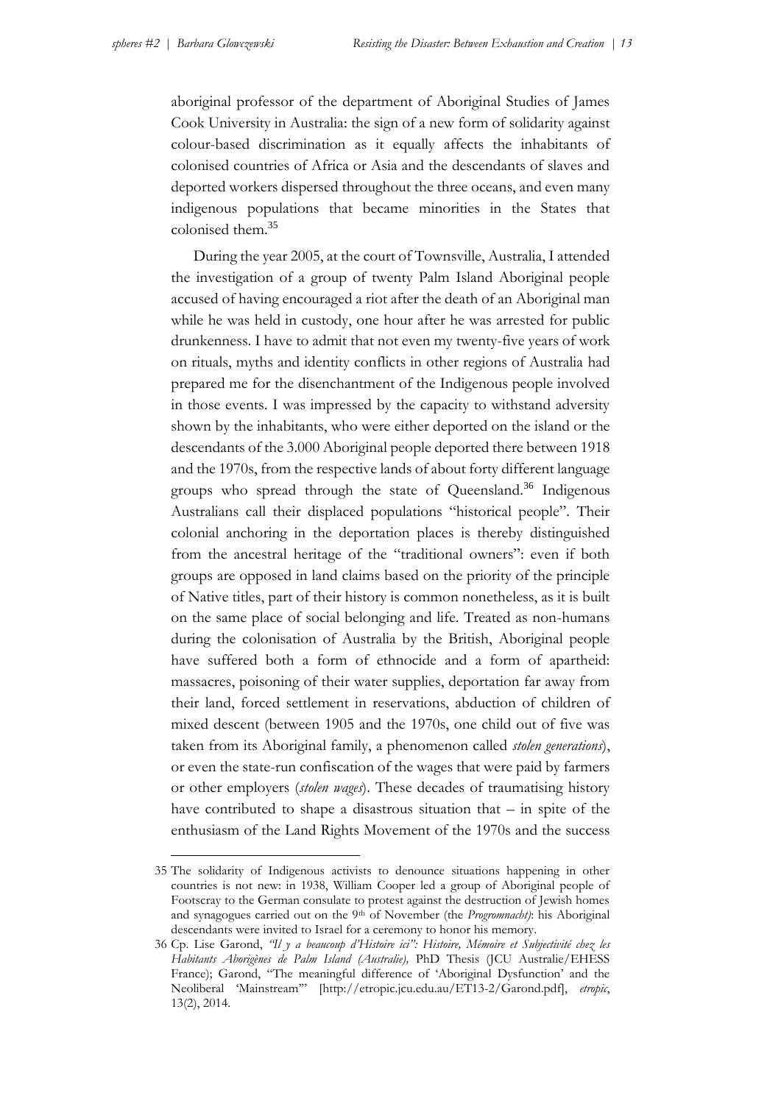aboriginal professor of the department of Aboriginal Studies of James Cook University in Australia: the sign of a new form of solidarity against colour-based discrimination as it equally affects the inhabitants of colonised countries of Africa or Asia and the descendants of slaves and deported workers dispersed throughout the three oceans, and even many indigenous populations that became minorities in the States that colonised them.<sup>35</sup>

During the year 2005, at the court of Townsville, Australia, I attended the investigation of a group of twenty Palm Island Aboriginal people accused of having encouraged a riot after the death of an Aboriginal man while he was held in custody, one hour after he was arrested for public drunkenness. I have to admit that not even my twenty-five years of work on rituals, myths and identity conflicts in other regions of Australia had prepared me for the disenchantment of the Indigenous people involved in those events. I was impressed by the capacity to withstand adversity shown by the inhabitants, who were either deported on the island or the descendants of the 3.000 Aboriginal people deported there between 1918 and the 1970s, from the respective lands of about forty different language groups who spread through the state of Queensland.<sup>36</sup> Indigenous Australians call their displaced populations "historical people". Their colonial anchoring in the deportation places is thereby distinguished from the ancestral heritage of the "traditional owners": even if both groups are opposed in land claims based on the priority of the principle of Native titles, part of their history is common nonetheless, as it is built on the same place of social belonging and life. Treated as non-humans during the colonisation of Australia by the British, Aboriginal people have suffered both a form of ethnocide and a form of apartheid: massacres, poisoning of their water supplies, deportation far away from their land, forced settlement in reservations, abduction of children of mixed descent (between 1905 and the 1970s, one child out of five was taken from its Aboriginal family, a phenomenon called *stolen generations*), or even the state-run confiscation of the wages that were paid by farmers or other employers (*stolen wages*). These decades of traumatising history have contributed to shape a disastrous situation that – in spite of the enthusiasm of the Land Rights Movement of the 1970s and the success

<sup>35</sup> The solidarity of Indigenous activists to denounce situations happening in other countries is not new: in 1938, William Cooper led a group of Aboriginal people of Footscray to the German consulate to protest against the destruction of Jewish homes and synagogues carried out on the 9<sup>th</sup> of November (the *Progromnacht*): his Aboriginal descendants were invited to Israel for a ceremony to honor his memory*.*

<sup>36</sup> Cp. Lise Garond, *"Il y a beaucoup d'Histoire ici": Histoire, Mémoire et Subjectivité chez les Habitants Aborigènes de Palm Island (Australie),* PhD Thesis (JCU Australie/EHESS France); Garond, "The meaningful difference of 'Aboriginal Dysfunction' and the Neoliberal 'Mainstream'" [http://etropic.jcu.edu.au/ET13-2/Garond.pdf], *etropic*, 13(2), 2014.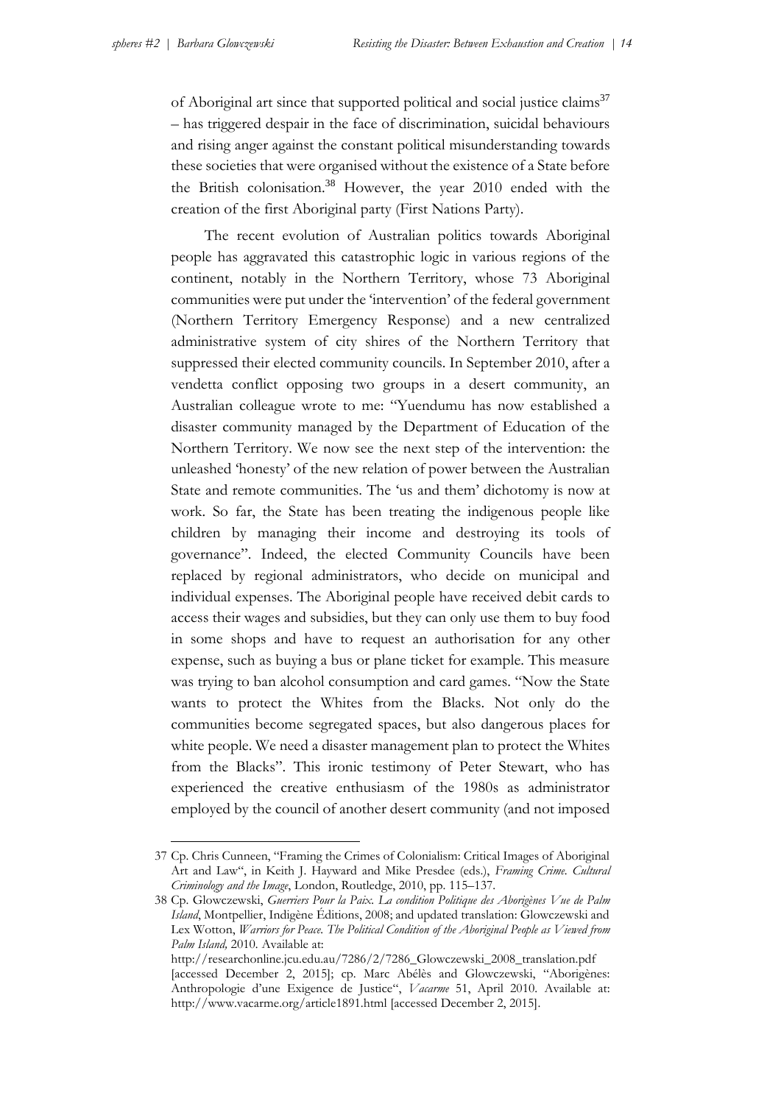of Aboriginal art since that supported political and social justice claims<sup>37</sup> – has triggered despair in the face of discrimination, suicidal behaviours and rising anger against the constant political misunderstanding towards these societies that were organised without the existence of a State before the British colonisation.<sup>38</sup> However, the year 2010 ended with the creation of the first Aboriginal party (First Nations Party).

The recent evolution of Australian politics towards Aboriginal people has aggravated this catastrophic logic in various regions of the continent, notably in the Northern Territory, whose 73 Aboriginal communities were put under the 'intervention' of the federal government (Northern Territory Emergency Response) and a new centralized administrative system of city shires of the Northern Territory that suppressed their elected community councils. In September 2010, after a vendetta conflict opposing two groups in a desert community, an Australian colleague wrote to me: "Yuendumu has now established a disaster community managed by the Department of Education of the Northern Territory. We now see the next step of the intervention: the unleashed 'honesty' of the new relation of power between the Australian State and remote communities. The 'us and them' dichotomy is now at work. So far, the State has been treating the indigenous people like children by managing their income and destroying its tools of governance". Indeed, the elected Community Councils have been replaced by regional administrators, who decide on municipal and individual expenses. The Aboriginal people have received debit cards to access their wages and subsidies, but they can only use them to buy food in some shops and have to request an authorisation for any other expense, such as buying a bus or plane ticket for example. This measure was trying to ban alcohol consumption and card games. "Now the State wants to protect the Whites from the Blacks. Not only do the communities become segregated spaces, but also dangerous places for white people. We need a disaster management plan to protect the Whites from the Blacks". This ironic testimony of Peter Stewart, who has experienced the creative enthusiasm of the 1980s as administrator employed by the council of another desert community (and not imposed

<sup>37</sup> Cp. Chris Cunneen, "Framing the Crimes of Colonialism: Critical Images of Aboriginal Art and Law", in Keith J. Hayward and Mike Presdee (eds.), *Framing Crime. Cultural Criminology and the Image*, London, Routledge, 2010, pp. 115–137.

<sup>38</sup> Cp. Glowczewski, *Guerriers Pour la Paix. La condition Politique des Aborigènes Vue de Palm Island*, Montpellier, Indigène Éditions, 2008; and updated translation: Glowczewski and Lex Wotton, *Warriors for Peace. The Political Condition of the Aboriginal People as Viewed from Palm Island,* 2010*.* Available at:

http://researchonline.jcu.edu.au/7286/2/7286\_Glowczewski\_2008\_translation.pdf [accessed December 2, 2015]; cp. Marc Abélès and Glowczewski, "Aborigènes: Anthropologie d'une Exigence de Justice", *Vacarme* 51, April 2010. Available at: http://www.vacarme.org/article1891.html [accessed December 2, 2015].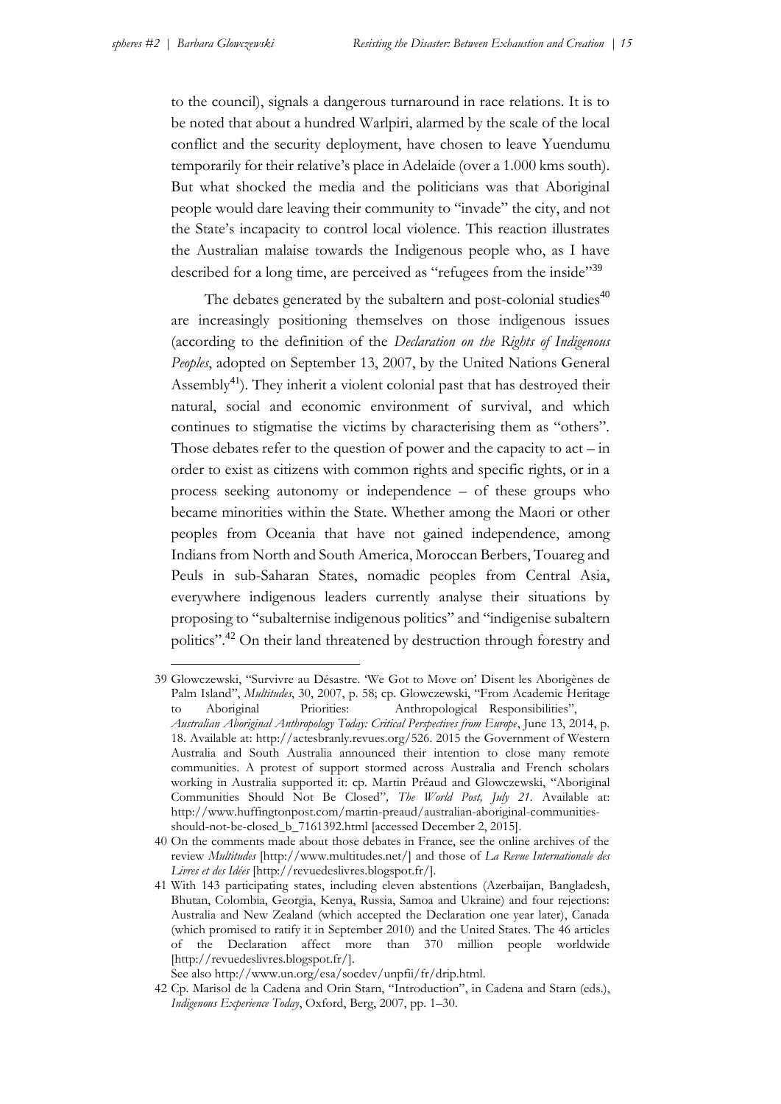-

to the council), signals a dangerous turnaround in race relations. It is to be noted that about a hundred Warlpiri, alarmed by the scale of the local conflict and the security deployment, have chosen to leave Yuendumu temporarily for their relative's place in Adelaide (over a 1.000 kms south). But what shocked the media and the politicians was that Aboriginal people would dare leaving their community to "invade" the city, and not the State's incapacity to control local violence. This reaction illustrates the Australian malaise towards the Indigenous people who, as I have described for a long time, are perceived as "refugees from the inside"<sup>39</sup>

The debates generated by the subaltern and post-colonial studies $40$ are increasingly positioning themselves on those indigenous issues (according to the definition of the *Declaration on the Rights of Indigenous Peoples*, adopted on September 13, 2007, by the United Nations General Assembly<sup>41</sup>). They inherit a violent colonial past that has destroyed their natural, social and economic environment of survival, and which continues to stigmatise the victims by characterising them as "others". Those debates refer to the question of power and the capacity to  $act - in$ order to exist as citizens with common rights and specific rights, or in a process seeking autonomy or independence – of these groups who became minorities within the State. Whether among the Maori or other peoples from Oceania that have not gained independence, among Indians from North and South America, Moroccan Berbers, Touareg and Peuls in sub-Saharan States, nomadic peoples from Central Asia, everywhere indigenous leaders currently analyse their situations by proposing to "subalternise indigenous politics" and "indigenise subaltern politics".<sup>42</sup> On their land threatened by destruction through forestry and

<sup>39</sup> Glowczewski, "Survivre au Désastre. 'We Got to Move on' Disent les Aborigènes de Palm Island", *Multitudes*, 30, 2007, p. 58; cp. Glowczewski, "From Academic Heritage to Aboriginal Priorities: Anthropological Responsibilities", *Australian Aboriginal Anthropology Today: Critical Perspectives from Europe*, June 13, 2014, p. 18. Available at: http://actesbranly.revues.org/526. 2015 the Government of Western Australia and South Australia announced their intention to close many remote communities. A protest of support stormed across Australia and French scholars working in Australia supported it: cp. Martin Préaud and Glowczewski, "Aboriginal Communities Should Not Be Closed"*, The World Post, July 21.* Available at: http://www.huffingtonpost.com/martin-preaud/australian-aboriginal-communities-

should-not-be-closed\_b\_7161392.html [accessed December 2, 2015]. 40 On the comments made about those debates in France, see the online archives of the review *Multitudes* [http://www.multitudes.net/] and those of *La Revue Internationale des Livres et des Idées* [http://revuedeslivres.blogspot.fr/].

<sup>41</sup> With 143 participating states, including eleven abstentions (Azerbaijan, Bangladesh, Bhutan, Colombia, Georgia, Kenya, Russia, Samoa and Ukraine) and four rejections: Australia and New Zealand (which accepted the Declaration one year later), Canada (which promised to ratify it in September 2010) and the United States. The 46 articles of the Declaration affect more than 370 million people worldwide [http://revuedeslivres.blogspot.fr/].

See also http://www.un.org/esa/socdev/unpfii/fr/drip.html.

<sup>42</sup> Cp. Marisol de la Cadena and Orin Starn, "Introduction", in Cadena and Starn (eds.), *Indigenous Experience Today*, Oxford, Berg, 2007, pp. 1–30.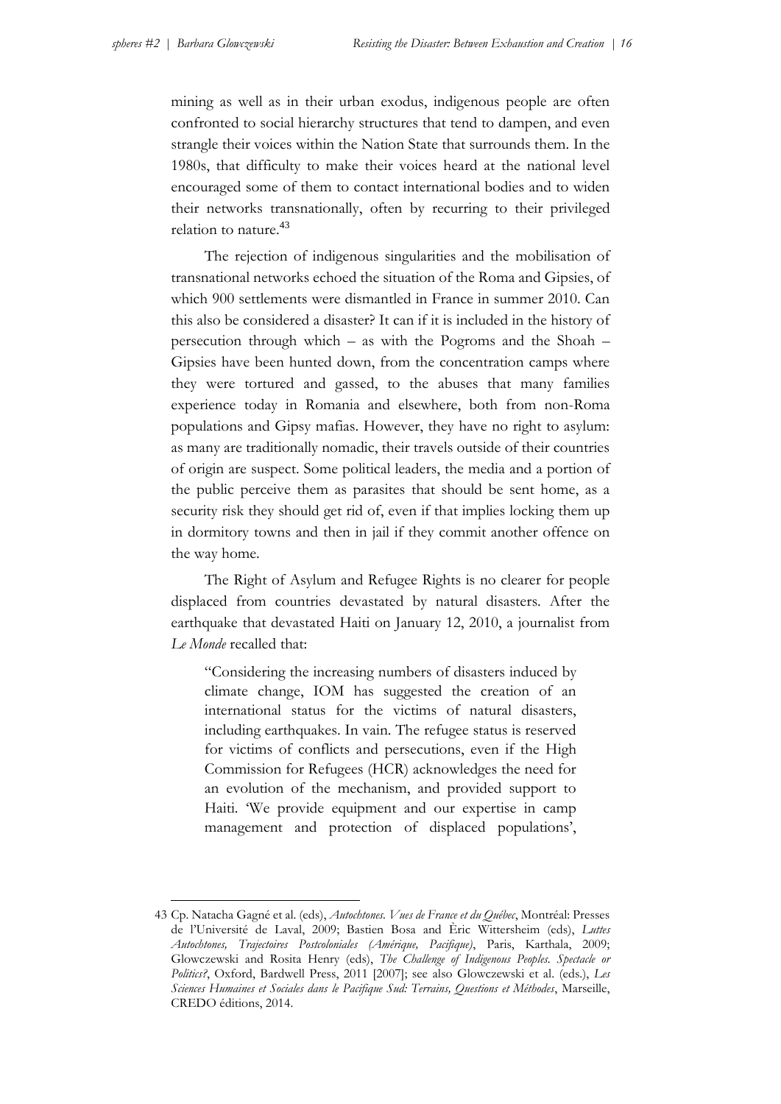mining as well as in their urban exodus, indigenous people are often confronted to social hierarchy structures that tend to dampen, and even strangle their voices within the Nation State that surrounds them. In the 1980s, that difficulty to make their voices heard at the national level encouraged some of them to contact international bodies and to widen their networks transnationally, often by recurring to their privileged relation to nature.<sup>43</sup>

The rejection of indigenous singularities and the mobilisation of transnational networks echoed the situation of the Roma and Gipsies, of which 900 settlements were dismantled in France in summer 2010. Can this also be considered a disaster? It can if it is included in the history of persecution through which – as with the Pogroms and the Shoah – Gipsies have been hunted down, from the concentration camps where they were tortured and gassed, to the abuses that many families experience today in Romania and elsewhere, both from non-Roma populations and Gipsy mafias. However, they have no right to asylum: as many are traditionally nomadic, their travels outside of their countries of origin are suspect. Some political leaders, the media and a portion of the public perceive them as parasites that should be sent home, as a security risk they should get rid of, even if that implies locking them up in dormitory towns and then in jail if they commit another offence on the way home.

The Right of Asylum and Refugee Rights is no clearer for people displaced from countries devastated by natural disasters. After the earthquake that devastated Haiti on January 12, 2010, a journalist from *Le Monde* recalled that:

"Considering the increasing numbers of disasters induced by climate change, IOM has suggested the creation of an international status for the victims of natural disasters, including earthquakes. In vain. The refugee status is reserved for victims of conflicts and persecutions, even if the High Commission for Refugees (HCR) acknowledges the need for an evolution of the mechanism, and provided support to Haiti. 'We provide equipment and our expertise in camp management and protection of displaced populations',

<sup>43</sup> Cp. Natacha Gagné et al. (eds), *Autochtones. Vues de France et du Québec*, Montréal: Presses de l'Université de Laval, 2009; Bastien Bosa and Èric Wittersheim (eds), *Luttes Autochtones, Trajectoires Postcoloniales (Amérique, Pacifique)*, Paris, Karthala, 2009; Glowczewski and Rosita Henry (eds), *The Challenge of Indigenous Peoples. Spectacle or Politics?*, Oxford, Bardwell Press, 2011 [2007]; see also Glowczewski et al. (eds.), *Les Sciences Humaines et Sociales dans le Pacifique Sud: Terrains, Questions et Méthodes*, Marseille, CREDO éditions, 2014.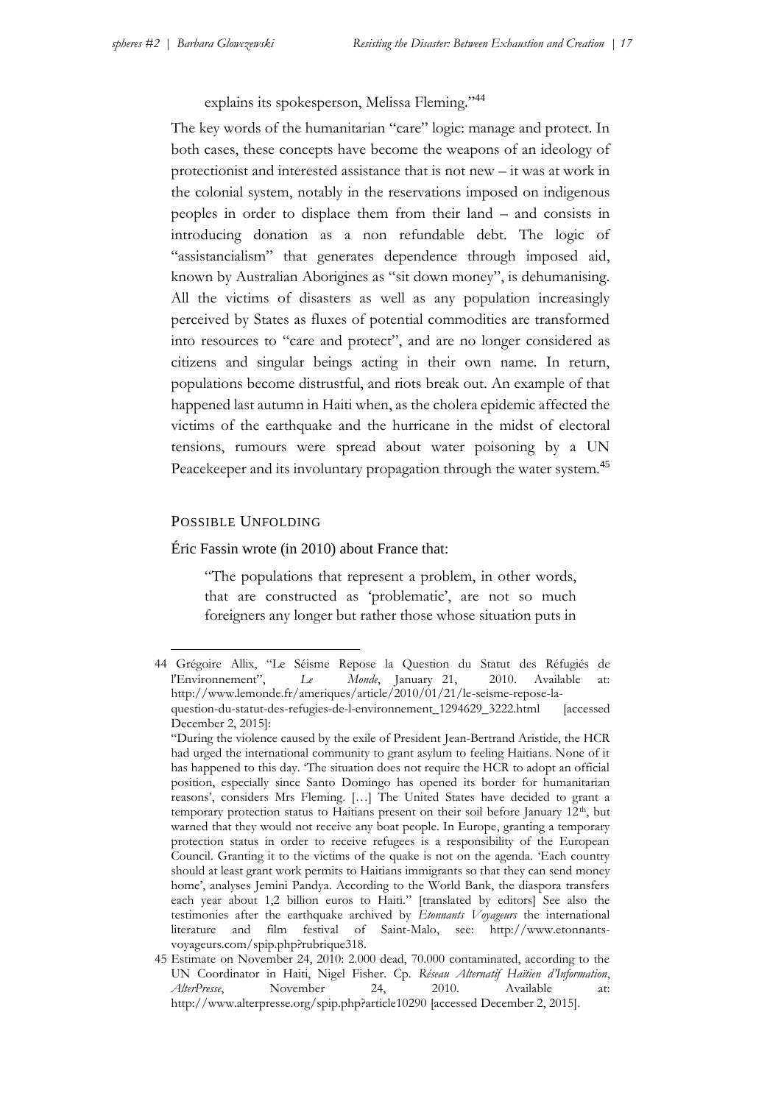explains its spokesperson, Melissa Fleming."<sup>44</sup>

The key words of the humanitarian "care" logic: manage and protect. In both cases, these concepts have become the weapons of an ideology of protectionist and interested assistance that is not new – it was at work in the colonial system, notably in the reservations imposed on indigenous peoples in order to displace them from their land – and consists in introducing donation as a non refundable debt. The logic of "assistancialism" that generates dependence through imposed aid, known by Australian Aborigines as "sit down money", is dehumanising. All the victims of disasters as well as any population increasingly perceived by States as fluxes of potential commodities are transformed into resources to "care and protect", and are no longer considered as citizens and singular beings acting in their own name. In return, populations become distrustful, and riots break out. An example of that happened last autumn in Haiti when, as the cholera epidemic affected the victims of the earthquake and the hurricane in the midst of electoral tensions, rumours were spread about water poisoning by a UN Peacekeeper and its involuntary propagation through the water system.<sup>45</sup>

# POSSIBLE UNFOLDING

-

Éric Fassin wrote (in 2010) about France that:

"The populations that represent a problem, in other words, that are constructed as 'problematic', are not so much foreigners any longer but rather those whose situation puts in

<sup>44</sup> Grégoire Allix, "Le Séisme Repose la Question du Statut des Réfugiés de l'Environnement", *Le Monde*, January 21, 2010. Available at: http://www.lemonde.fr/ameriques/article/2010/01/21/le-seisme-repose-laquestion-du-statut-des-refugies-de-l-environnement\_1294629\_3222.html [accessed December 2, 2015]:

<sup>&</sup>quot;During the violence caused by the exile of President Jean-Bertrand Aristide, the HCR had urged the international community to grant asylum to feeling Haitians. None of it has happened to this day. 'The situation does not require the HCR to adopt an official position, especially since Santo Domingo has opened its border for humanitarian reasons', considers Mrs Fleming. […] The United States have decided to grant a temporary protection status to Haitians present on their soil before January 12th, but warned that they would not receive any boat people. In Europe, granting a temporary protection status in order to receive refugees is a responsibility of the European Council. Granting it to the victims of the quake is not on the agenda. 'Each country should at least grant work permits to Haitians immigrants so that they can send money home', analyses Jemini Pandya. According to the World Bank, the diaspora transfers each year about 1,2 billion euros to Haiti." [translated by editors] See also the testimonies after the earthquake archived by *Etonnants Voyageurs* the international literature and film festival of Saint-Malo, see: http://www.etonnantsvoyageurs.com/spip.php?rubrique318.

<sup>45</sup> Estimate on November 24, 2010: 2.000 dead, 70.000 contaminated, according to the UN Coordinator in Haiti, Nigel Fisher. Cp. *Réseau Alternatif Haïtien d'Information*, *AlterPresse*, November 24, 2010. Available at: http://www.alterpresse.org/spip.php?article10290 [accessed December 2, 2015].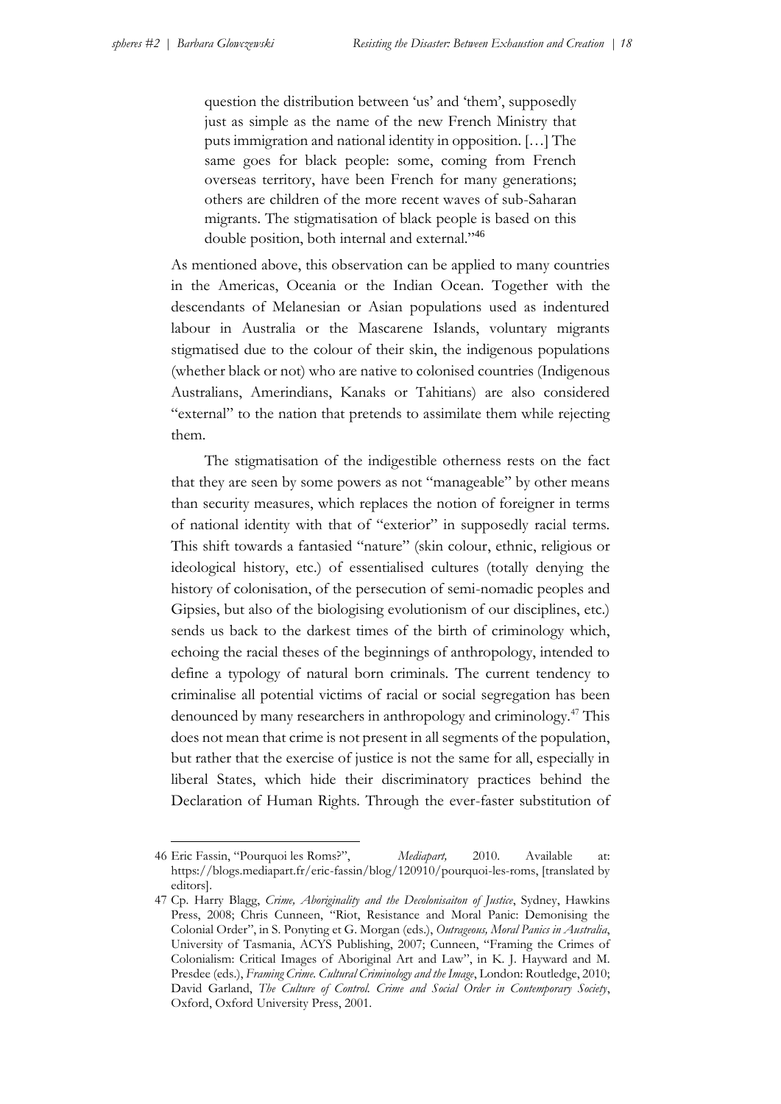question the distribution between 'us' and 'them', supposedly just as simple as the name of the new French Ministry that puts immigration and national identity in opposition. […] The same goes for black people: some, coming from French overseas territory, have been French for many generations; others are children of the more recent waves of sub-Saharan migrants. The stigmatisation of black people is based on this double position, both internal and external."<sup>46</sup>

As mentioned above, this observation can be applied to many countries in the Americas, Oceania or the Indian Ocean. Together with the descendants of Melanesian or Asian populations used as indentured labour in Australia or the Mascarene Islands, voluntary migrants stigmatised due to the colour of their skin, the indigenous populations (whether black or not) who are native to colonised countries (Indigenous Australians, Amerindians, Kanaks or Tahitians) are also considered "external" to the nation that pretends to assimilate them while rejecting them.

The stigmatisation of the indigestible otherness rests on the fact that they are seen by some powers as not "manageable" by other means than security measures, which replaces the notion of foreigner in terms of national identity with that of "exterior" in supposedly racial terms. This shift towards a fantasied "nature" (skin colour, ethnic, religious or ideological history, etc.) of essentialised cultures (totally denying the history of colonisation, of the persecution of semi-nomadic peoples and Gipsies, but also of the biologising evolutionism of our disciplines, etc.) sends us back to the darkest times of the birth of criminology which, echoing the racial theses of the beginnings of anthropology, intended to define a typology of natural born criminals. The current tendency to criminalise all potential victims of racial or social segregation has been denounced by many researchers in anthropology and criminology.<sup>47</sup> This does not mean that crime is not present in all segments of the population, but rather that the exercise of justice is not the same for all, especially in liberal States, which hide their discriminatory practices behind the Declaration of Human Rights. Through the ever-faster substitution of

<sup>1</sup> 46 Eric Fassin, "Pourquoi les Roms?", *Mediapart,* 2010. Available at: https://blogs.mediapart.fr/eric-fassin/blog/120910/pourquoi-les-roms, [translated by editors].

<sup>47</sup> Cp. Harry Blagg, *Crime, Aboriginality and the Decolonisaiton of Justice*, Sydney, Hawkins Press, 2008; Chris Cunneen, "Riot, Resistance and Moral Panic: Demonising the Colonial Order", in S. Ponyting et G. Morgan (eds.), *Outrageous, Moral Panics in Australia*, University of Tasmania, ACYS Publishing, 2007; Cunneen, "Framing the Crimes of Colonialism: Critical Images of Aboriginal Art and Law", in K. J. Hayward and M. Presdee (eds.), *Framing Crime. Cultural Criminology and the Image*, London: Routledge, 2010; David Garland, *The Culture of Control. Crime and Social Order in Contemporary Society*, Oxford, Oxford University Press, 2001.